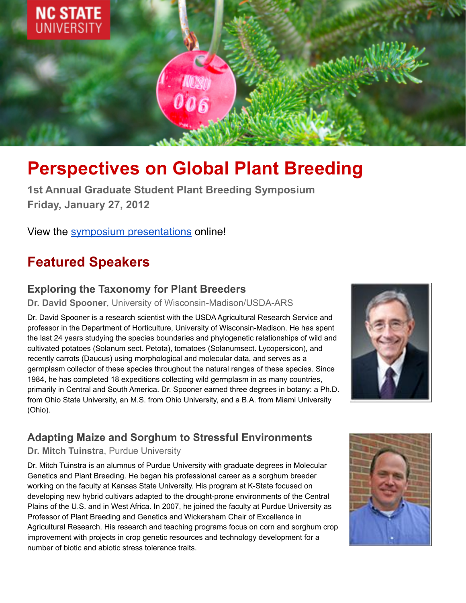

# **Perspectives on Global Plant Breeding**

**1st Annual Graduate Student Plant Breeding Symposium Friday, January 27, 2012**

View the symposium [presentations](https://ncsu.hosted.panopto.com/Panopto/Pages/Viewer.aspx?id=dd4913bc-3ad5-46fa-a676-ad75011ab0ae) online!

## **Featured Speakers**

#### **Exploring the Taxonomy for Plant Breeders**

**Dr. David Spooner**, University of Wisconsin-Madison/USDA-ARS

Dr. David Spooner is a research scientist with the USDA Agricultural Research Service and professor in the Department of Horticulture, University of Wisconsin-Madison. He has spent the last 24 years studying the species boundaries and phylogenetic relationships of wild and cultivated potatoes (Solanum sect. Petota), tomatoes (Solanumsect. Lycopersicon), and recently carrots (Daucus) using morphological and molecular data, and serves as a germplasm collector of these species throughout the natural ranges of these species. Since 1984, he has completed 18 expeditions collecting wild germplasm in as many countries, primarily in Central and South America. Dr. Spooner earned three degrees in botany: a Ph.D. from Ohio State University, an M.S. from Ohio University, and a B.A. from Miami University (Ohio).



#### **Adapting Maize and Sorghum to Stressful Environments**

**Dr. Mitch Tuinstra**, Purdue University

Dr. Mitch Tuinstra is an alumnus of Purdue University with graduate degrees in Molecular Genetics and Plant Breeding. He began his professional career as a sorghum breeder working on the faculty at Kansas State University. His program at K-State focused on developing new hybrid cultivars adapted to the drought-prone environments of the Central Plains of the U.S. and in West Africa. In 2007, he joined the faculty at Purdue University as Professor of Plant Breeding and Genetics and Wickersham Chair of Excellence in Agricultural Research. His research and teaching programs focus on corn and sorghum crop improvement with projects in crop genetic resources and technology development for a number of biotic and abiotic stress tolerance traits.

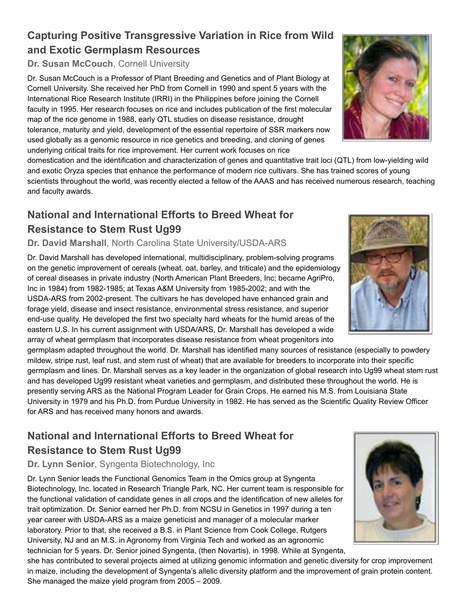#### **Capturing Positive Transgressive Variation in Rice from Wild and Exotic Germplasm Resources**

**Dr. Susan McCouch**, Cornell University

Dr. Susan McCouch is a Professor of Plant Breeding and Genetics and of Plant Biology at Cornell University. She received her PhD from Cornell in 1990 and spent 5 years with the International Rice Research Institute (IRRI) in the Philippines before joining the Cornell faculty in 1995. Her research focuses on rice and includes publication of the first molecular map of the rice genome in 1988, early QTL studies on disease resistance, drought tolerance, maturity and yield, development of the essential repertoire of SSR markers now used globally as a genomic resource in rice genetics and breeding, and cloning of genes underlying critical traits for rice improvement. Her current work focuses on rice

domestication and the identification and characterization of genes and quantitative trait loci (QTL) from low-yielding wild and exotic Oryza species that enhance the performance of modern rice cultivars. She has trained scores of young scientists throughout the world, was recently elected a fellow of the AAAS and has received numerous research, teaching and faculty awards.

#### **National and International Efforts to Breed Wheat for Resistance to Stem Rust Ug99**

**Dr. David Marshall**, North Carolina State University/USDA-ARS

Dr. David Marshall has developed international, multidisciplinary, problem-solving programs on the genetic improvement of cereals (wheat, oat, barley, and triticale) and the epidemiology of cereal diseases in private industry (North American Plant Breeders, Inc; became AgriPro, Inc in 1984) from 1982-1985; at Texas A&M University from 1985-2002; and with the USDA-ARS from 2002-present. The cultivars he has developed have enhanced grain and forage yield, disease and insect resistance, environmental stress resistance, and superior end-use quality. He developed the first two specialty hard wheats for the humid areas of the eastern U.S. In his current assignment with USDA/ARS, Dr. Marshall has developed a wide array of wheat germplasm that incorporates disease resistance from wheat progenitors into

germplasm adapted throughout the world. Dr. Marshall has identified many sources of resistance (especially to powdery mildew, stripe rust, leaf rust, and stem rust of wheat) that are available for breeders to incorporate into their specific germplasm and lines. Dr. Marshall serves as a key leader in the organization of global research into Ug99 wheat stem rust and has developed Ug99 resistant wheat varieties and germplasm, and distributed these throughout the world. He is presently serving ARS as the National Program Leader for Grain Crops. He earned his M.S. from Louisiana State University in 1979 and his Ph.D. from Purdue University in 1982. He has served as the Scientific Quality Review Officer for ARS and has received many honors and awards.

### **National and International Efforts to Breed Wheat for Resistance to Stem Rust Ug99**

#### **Dr. Lynn Senior**, Syngenta Biotechnology, Inc

Dr. Lynn Senior leads the Functional Genomics Team in the Omics group at Syngenta Biotechnology, Inc. located in Research Triangle Park, NC. Her current team is responsible for the functional validation of candidate genes in all crops and the identification of new alleles for trait optimization. Dr. Senior earned her Ph.D. from NCSU in Genetics in 1997 during a ten year career with USDA-ARS as a maize geneticist and manager of a molecular marker laboratory. Prior to that, she received a B.S. in Plant Science from Cook College, Rutgers University, NJ and an M.S. in Agronomy from Virginia Tech and worked as an agronomic technician for 5 years. Dr. Senior joined Syngenta, (then Novartis), in 1998. While at Syngenta,

she has contributed to several projects aimed at utilizing genomic information and genetic diversity for crop improvement in maize, including the development of Syngenta's allelic diversity platform and the improvement of grain protein content. She managed the maize yield program from 2005 – 2009.